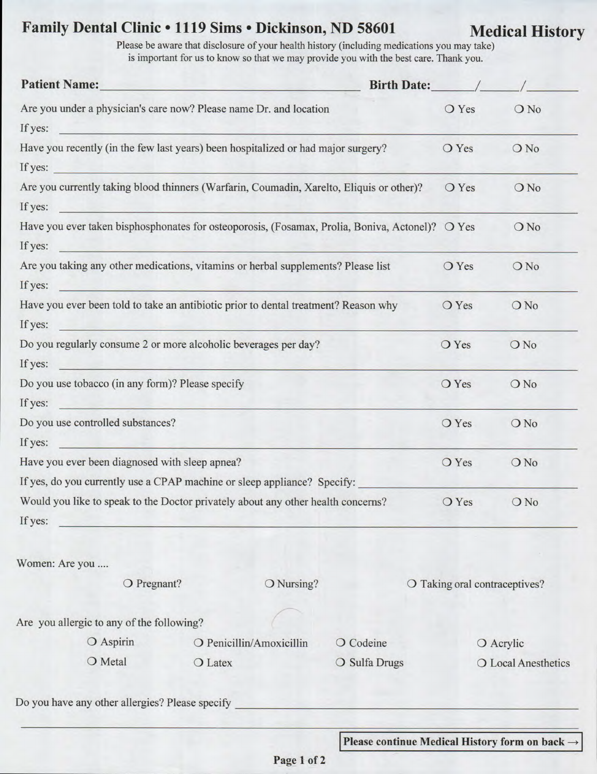## Family Dental Clinic . 1119 Sims . Dickinson, ND 58601 Medical History

Please be aware that disclosure of your health history (including medications you may take) is important for us to know so that we may provide you with the best care. Thank you.

| <b>Patient Name:</b>                                                                                                                                                                                                                                                                                                                               | the company of the company of the company of                                                                          | Birth Date: /                                              |                     |                               |  |  |
|----------------------------------------------------------------------------------------------------------------------------------------------------------------------------------------------------------------------------------------------------------------------------------------------------------------------------------------------------|-----------------------------------------------------------------------------------------------------------------------|------------------------------------------------------------|---------------------|-------------------------------|--|--|
| Are you under a physician's care now? Please name Dr. and location                                                                                                                                                                                                                                                                                 |                                                                                                                       |                                                            |                     | O No                          |  |  |
| If yes:                                                                                                                                                                                                                                                                                                                                            |                                                                                                                       |                                                            |                     |                               |  |  |
| Have you recently (in the few last years) been hospitalized or had major surgery?                                                                                                                                                                                                                                                                  | O Yes                                                                                                                 | $O$ No                                                     |                     |                               |  |  |
|                                                                                                                                                                                                                                                                                                                                                    | If yes:                                                                                                               |                                                            |                     |                               |  |  |
| Are you currently taking blood thinners (Warfarin, Coumadin, Xarelto, Eliquis or other)?                                                                                                                                                                                                                                                           | O Yes                                                                                                                 | ONo                                                        |                     |                               |  |  |
| If yes:                                                                                                                                                                                                                                                                                                                                            |                                                                                                                       |                                                            |                     |                               |  |  |
| Have you ever taken bisphosphonates for osteoporosis, (Fosamax, Prolia, Boniva, Actonel)? O Yes<br>If yes:<br><u>and the state of the state of the state of the state of the state of the state of the state of the state of the state of the state of the state of the state of the state of the state of the state of the state of the state</u> |                                                                                                                       | ONo                                                        |                     |                               |  |  |
| Are you taking any other medications, vitamins or herbal supplements? Please list                                                                                                                                                                                                                                                                  | O Yes                                                                                                                 | ONo                                                        |                     |                               |  |  |
| If yes:                                                                                                                                                                                                                                                                                                                                            | <u> 1988 - Alexander Alexander de Barcelona (</u>                                                                     |                                                            |                     |                               |  |  |
| Have you ever been told to take an antibiotic prior to dental treatment? Reason why<br>If yes:<br><u>de la construcción de la companya de la construcción de la companya de la construcción de la companya de la co</u>                                                                                                                            | O Yes                                                                                                                 | ONo                                                        |                     |                               |  |  |
| Do you regularly consume 2 or more alcoholic beverages per day?                                                                                                                                                                                                                                                                                    | O Yes                                                                                                                 | ONo                                                        |                     |                               |  |  |
| If yes:                                                                                                                                                                                                                                                                                                                                            | <u> Louis Communication de la communication de la communication de la communication de la communication de la com</u> |                                                            |                     |                               |  |  |
| Do you use tobacco (in any form)? Please specify                                                                                                                                                                                                                                                                                                   | O Yes                                                                                                                 | ONo                                                        |                     |                               |  |  |
| If yes:<br><u> Alexandria de la contrada de la contrada de la contrada de la contrada de la contrada de la contrada de la c</u>                                                                                                                                                                                                                    |                                                                                                                       |                                                            |                     |                               |  |  |
| Do you use controlled substances?                                                                                                                                                                                                                                                                                                                  | O Yes                                                                                                                 | ONo                                                        |                     |                               |  |  |
| If yes:                                                                                                                                                                                                                                                                                                                                            |                                                                                                                       |                                                            |                     |                               |  |  |
| Have you ever been diagnosed with sleep apnea?                                                                                                                                                                                                                                                                                                     | O Yes                                                                                                                 | ONo                                                        |                     |                               |  |  |
|                                                                                                                                                                                                                                                                                                                                                    | If yes, do you currently use a CPAP machine or sleep appliance? Specify:                                              |                                                            |                     |                               |  |  |
| Would you like to speak to the Doctor privately about any other health concerns?                                                                                                                                                                                                                                                                   |                                                                                                                       |                                                            |                     | ONo                           |  |  |
| If yes:                                                                                                                                                                                                                                                                                                                                            |                                                                                                                       |                                                            |                     |                               |  |  |
| Women: Are you                                                                                                                                                                                                                                                                                                                                     |                                                                                                                       |                                                            |                     |                               |  |  |
| O Pregnant?<br>O Nursing?                                                                                                                                                                                                                                                                                                                          |                                                                                                                       |                                                            |                     | O Taking oral contraceptives? |  |  |
| Are you allergic to any of the following?                                                                                                                                                                                                                                                                                                          |                                                                                                                       |                                                            |                     |                               |  |  |
| O Aspirin                                                                                                                                                                                                                                                                                                                                          | O Penicillin/Amoxicillin                                                                                              | O Acrylic                                                  |                     |                               |  |  |
| O Metal                                                                                                                                                                                                                                                                                                                                            | O Latex                                                                                                               | O Sulfa Drugs                                              | O Local Anesthetics |                               |  |  |
| Do you have any other allergies? Please specify                                                                                                                                                                                                                                                                                                    |                                                                                                                       |                                                            |                     |                               |  |  |
|                                                                                                                                                                                                                                                                                                                                                    |                                                                                                                       |                                                            |                     |                               |  |  |
|                                                                                                                                                                                                                                                                                                                                                    |                                                                                                                       | Please continue Medical History form on back $\rightarrow$ |                     |                               |  |  |

**Page 1 of 2**